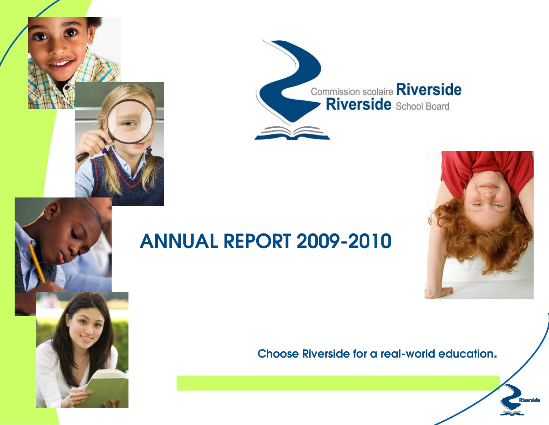



# **ANNUAL REPORT 2009-2010**



# **Choose Riverside for a real-world education.**

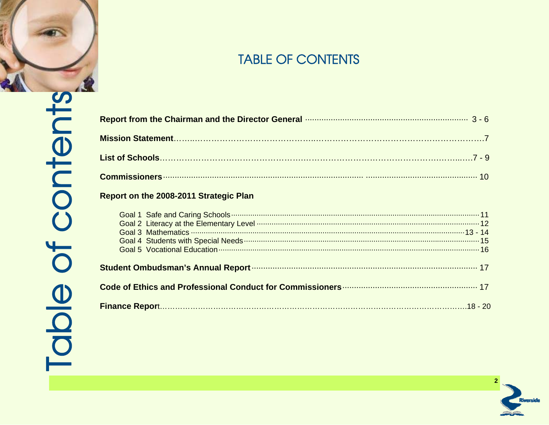

| Report from the Chairman and the Director General manufacture manufacture manufacture 3 - 6 |
|---------------------------------------------------------------------------------------------|
|                                                                                             |
|                                                                                             |
|                                                                                             |
| Report on the 2008-2011 Strategic Plan                                                      |
|                                                                                             |

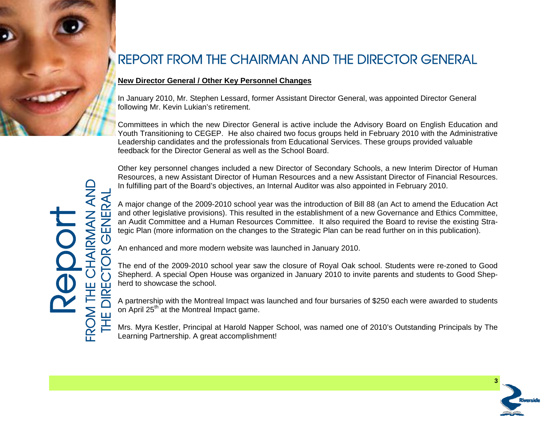

# REPORT FROM THE CHAIRMAN AND THE DIRECTOR GENERAL

# **New Director General / Other Key Personnel Changes**

In January 2010, Mr. Stephen Lessard, former Assistant Director General, was appointed Director General following Mr. Kevin Lukian's retirement.

Committees in which the new Director General is active include the Advisory Board on English Education and Youth Transitioning to CEGEP. He also chaired two focus groups held in February 2010 with the Administrative Leadership candidates and the professionals from Educational Services. These groups provided valuable feedback for the Director General as well as the School Board.

Other key personnel changes included a new Director of Secondary Schools, a new Interim Director of Human Resources, a new Assistant Director of Human Resources and a new Assistant Director of Financial Resources. In fulfilling part of the Board's objectives, an Internal Auditor was also appointed in February 2010.

A major change of the 2009-2010 school year was the introduction of Bill 88 (an Act to amend the Education Act and other legislative provisions). This resulted in the establishment of a new Governance and Ethics Committee, an Audit Committee and a Human Resources Committee. It also required the Board to revise the existing Strategic Plan (more information on the changes to the Strategic Plan can be read further on in this publication).

An enhanced and more modern website was launched in January 2010.

The end of the 2009-2010 school year saw the closure of Royal Oak school. Students were re-zoned to Good Shepherd. A special Open House was organized in January 2010 to invite parents and students to Good Shepherd to showcase the school.

A partnership with the Montreal Impact was launched and four bursaries of \$250 each were awarded to students on April 25<sup>th</sup> at the Montreal Impact game.

Mrs. Myra Kestler, Principal at Harold Napper School, was named one of 2010's Outstanding Principals by The Learning Partnership. A great accomplishment!

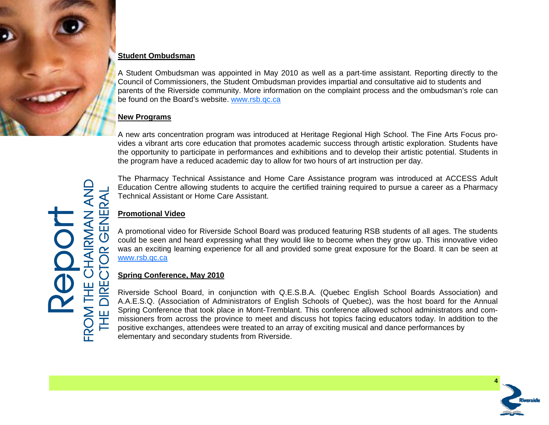

### **Student Ombudsman**

A Student Ombudsman was appointed in May 2010 as well as a part-time assistant. Reporting directly to the Council of Commissioners, the Student Ombudsman provides impartial and consultative aid to students and parents of the Riverside community. More information on the complaint process and the ombudsman's role can be found on the Board's website. www.rsb.qc.ca

### **New Programs**

A new arts concentration program was introduced at Heritage Regional High School. The Fine Arts Focus provides a vibrant arts core education that promotes academic success through artistic exploration. Students have the opportunity to participate in performances and exhibitions and to develop their artistic potential. Students in the program have a reduced academic day to allow for two hours of art instruction per day.

The Pharmacy Technical Assistance and Home Care Assistance program was introduced at ACCESS Adult Education Centre allowing students to acquire the certified training required to pursue a career as a Pharmacy Technical Assistant or Home Care Assistant.

### **Promotional Video**

A promotional video for Riverside School Board was produced featuring RSB students of all ages. The students could be seen and heard expressing what they would like to become when they grow up. This innovative video was an exciting learning experience for all and provided some great exposure for the Board. It can be seen at www.rsb.qc.ca

### **Spring Conference, May 2010**

Riverside School Board, in conjunction with Q.E.S.B.A. (Quebec English School Boards Association) and A.A.E.S.Q. (Association of Administrators of English Schools of Quebec), was the host board for the Annual Spring Conference that took place in Mont-Tremblant. This conference allowed school administrators and commissioners from across the province to meet and discuss hot topics facing educators today. In addition to the positive exchanges, attendees were treated to an array of exciting musical and dance performances by elementary and secondary students from Riverside.



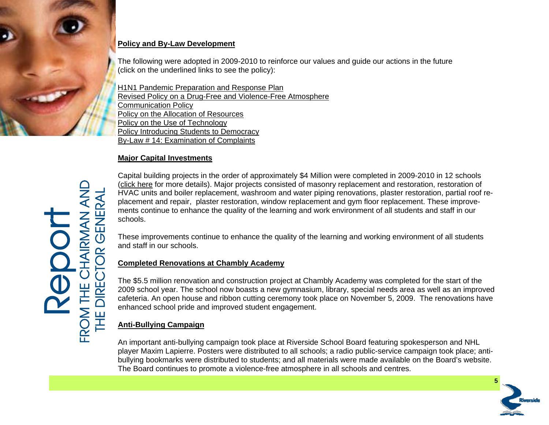

## **Policy and By-Law Development**

The following were adopted in 2009-2010 to reinforce our values and guide our actions in the future (click on the underlined links to see the policy):

**[H1N1 Pandemic Preparation and Response Plan](http://www.rsb.qc.ca/public/59e74f4a-c76f-4582-97d9-9136f5687bf1/gouvernance/politiques/adopted_rsb_pandemic_response_plan.pdf)** [Revised Policy on a Drug-Free and Violence-Free Atmosphere](http://www.rsb.qc.ca/public/59e74f4a-c76f-4582-97d9-9136f5687bf1/gouvernance/policies/drugs__violence.pdf) [Communication](http://www.rsb.qc.ca/public/59e74f4a-c76f-4582-97d9-9136f5687bf1/gouvernance/policies/communication_policy_final.pdf) [Policy](http://www.rsb.qc.ca/public/59e74f4a-c76f-4582-97d9-9136f5687bf1/gouvernance/policies/communication_policy_final.pdf) [Policy](http://www.rsb.qc.ca/public/59e74f4a-c76f-4582-97d9-9136f5687bf1/gouvernance/by-laws/policy_on_allocation_of_resources_2010.pdf) [on](http://www.rsb.qc.ca/public/59e74f4a-c76f-4582-97d9-9136f5687bf1/gouvernance/by-laws/policy_on_allocation_of_resources_2010.pdf) [the](http://www.rsb.qc.ca/public/59e74f4a-c76f-4582-97d9-9136f5687bf1/gouvernance/by-laws/policy_on_allocation_of_resources_2010.pdf) [Allocation](http://www.rsb.qc.ca/public/59e74f4a-c76f-4582-97d9-9136f5687bf1/gouvernance/by-laws/policy_on_allocation_of_resources_2010.pdf) [of](http://www.rsb.qc.ca/public/59e74f4a-c76f-4582-97d9-9136f5687bf1/gouvernance/by-laws/policy_on_allocation_of_resources_2010.pdf) [Resources](http://www.rsb.qc.ca/public/59e74f4a-c76f-4582-97d9-9136f5687bf1/gouvernance/by-laws/policy_on_allocation_of_resources_2010.pdf) [Policy on the Use of Technology](http://www.rsb.qc.ca/public/59e74f4a-c76f-4582-97d9-9136f5687bf1/gouvernance/policies/use_of_technology.pdf) [Policy Introducing Students to Democracy](http://www.rsb.qc.ca/public/59e74f4a-c76f-4582-97d9-9136f5687bf1/gouvernance/policies/intro_to_democracy.pdf) [By-Law](http://www.rsb.qc.ca/public/59e74f4a-c76f-4582-97d9-9136f5687bf1/gouvernance/policies/by-law_14_examination_of_complaints.pdf) [#](http://www.rsb.qc.ca/public/59e74f4a-c76f-4582-97d9-9136f5687bf1/gouvernance/policies/by-law_14_examination_of_complaints.pdf) [14:](http://www.rsb.qc.ca/public/59e74f4a-c76f-4582-97d9-9136f5687bf1/gouvernance/policies/by-law_14_examination_of_complaints.pdf) [Examination](http://www.rsb.qc.ca/public/59e74f4a-c76f-4582-97d9-9136f5687bf1/gouvernance/policies/by-law_14_examination_of_complaints.pdf) [of](http://www.rsb.qc.ca/public/59e74f4a-c76f-4582-97d9-9136f5687bf1/gouvernance/policies/by-law_14_examination_of_complaints.pdf) [Complaints](http://www.rsb.qc.ca/public/59e74f4a-c76f-4582-97d9-9136f5687bf1/gouvernance/policies/by-law_14_examination_of_complaints.pdf)

## **Major Capital Investments**

Capital building projects in the order of approximately \$4 Million were completed in 2009-2010 in 12 schools ([click](http://www.rsb.qc.ca/public/59e74f4a-c76f-4582-97d9-9136f5687bf1/gouvernance/by-laws/major_capital_investments_2009-2010.pdf) [here](http://www.rsb.qc.ca/public/59e74f4a-c76f-4582-97d9-9136f5687bf1/gouvernance/by-laws/major_capital_investments_2009-2010.pdf) for more details). Major projects consisted of masonry replacement and restoration, restoration of HVAC units and boiler replacement, washroom and water piping renovations, plaster restoration, partial roof replacement and repair, plaster restoration, window replacement and gym floor replacement. These improvements continue to enhance the quality of the learning and work environment of all students and staff in our schools.

These improvements continue to enhance the quality of the learning and working environment of all students and staff in our schools.

### **Completed Renovations at Chambly Academy**

The \$5.5 million renovation and construction project at Chambly Academy was completed for the start of the 2009 school year. The school now boasts a new gymnasium, library, special needs area as well as an improved cafeteria. An open house and ribbon cutting ceremony took place on November 5, 2009. The renovations have enhanced school pride and improved student engagement.

# **Anti-Bullying Campaign**

An important anti-bullying campaign took place at Riverside School Board featuring spokesperson and NHL player Maxim Lapierre. Posters were distributed to all schools; a radio public-service campaign took place; antibullying bookmarks were distributed to students; and all materials were made available on the Board's website. The Board continues to promote a violence-free atmosphere in all schools and centres.

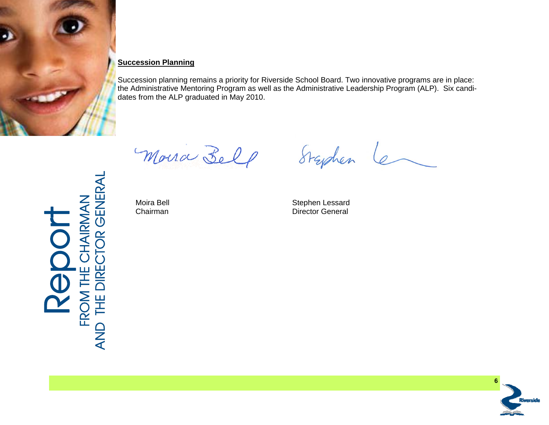

Report<br>FROM THE CHAIRMAN<br>AND THE DIRECTOR GENERAL FROM THE CHAIRMAN

AND THE DIRECTOR GENERAL

# **Succession Planning**

Succession planning remains a priority for Riverside School Board. Two innovative programs are in place: the Administrative Mentoring Program as well as the Administrative Leadership Program (ALP). Six candidates from the ALP graduated in May 2010.

Moura Belp

Moira Bell

Moira Bell **Moira Bell**<br>
Chairman **Chairman** Director General Chairman **Director General** 

Styden

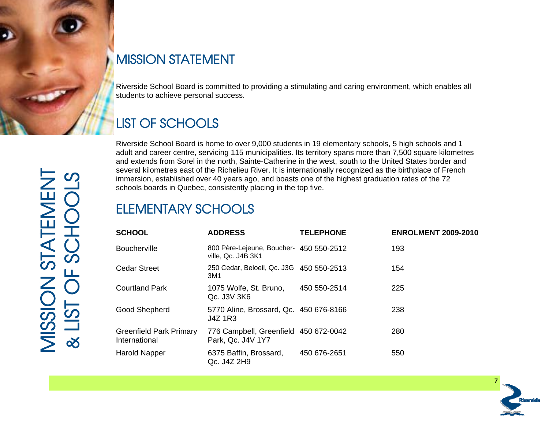

# MISSION STATEMENT

Riverside School Board is committed to providing a stimulating and caring environment, which enables all students to achieve personal success.

# LIST OF SCHOOLS

Riverside School Board is home to over 9,000 students in 19 elementary schools, 5 high schools and 1 adult and career centre, servicing 115 municipalities. Its territory spans more than 7,500 square kilometres and extends from Sorel in the north, Sainte-Catherine in the west, south to the United States border and several kilometres east of the Richelieu River. It is internationally recognized as the birthplace of French immersion, established over 40 years ago, and boasts one of the highest graduation rates of the 72 schools boards in Quebec, consistently placing in the top five.

# ELEMENTARY SCHOOLS

| <b>OLS</b> |                                                 | immersion, established over 40 years ago, and boasts one of the highest graduation rates of the 72<br>schools boards in Quebec, consistently placing in the top five. |                  | several kilometres east of the Richelieu River. It is internationally recognized as the birthplace of French |
|------------|-------------------------------------------------|-----------------------------------------------------------------------------------------------------------------------------------------------------------------------|------------------|--------------------------------------------------------------------------------------------------------------|
|            | <b>ELEMENTARY SCHOOLS</b>                       |                                                                                                                                                                       |                  |                                                                                                              |
|            | <b>SCHOOL</b>                                   | <b>ADDRESS</b>                                                                                                                                                        | <b>TELEPHONE</b> | <b>ENROLMENT 2009-2010</b>                                                                                   |
| OHOS       | <b>Boucherville</b>                             | 800 Père-Lejeune, Boucher- 450 550-2512<br>ville, Qc. J4B 3K1                                                                                                         |                  | 193                                                                                                          |
| Ш.         | <b>Cedar Street</b>                             | 250 Cedar, Beloeil, Qc. J3G 450 550-2513<br>3M1                                                                                                                       |                  | 154                                                                                                          |
|            | <b>Courtland Park</b>                           | 1075 Wolfe, St. Bruno,<br>Qc. J3V 3K6                                                                                                                                 | 450 550-2514     | 225                                                                                                          |
| <b>UST</b> | Good Shepherd                                   | 5770 Aline, Brossard, Qc. 450 676-8166<br><b>J4Z 1R3</b>                                                                                                              |                  | 238                                                                                                          |
| $\propto$  | <b>Greenfield Park Primary</b><br>International | 776 Campbell, Greenfield 450 672-0042<br>Park, Qc. J4V 1Y7                                                                                                            |                  | 280                                                                                                          |
|            | Harold Napper                                   | 6375 Baffin, Brossard,<br>Qc. J4Z 2H9                                                                                                                                 | 450 676-2651     | 550                                                                                                          |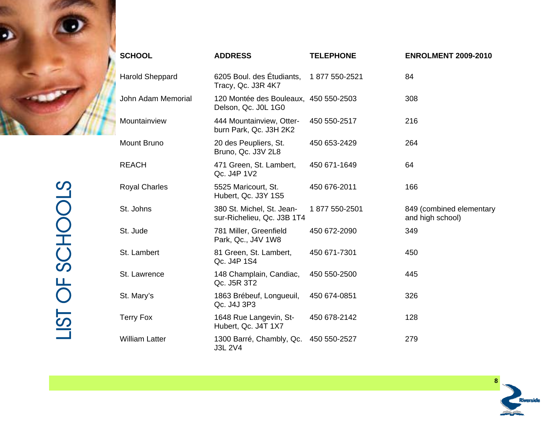

| <b>SCHOOL</b>          | <b>ADDRESS</b>                                               | <b>TELEPHONE</b> | <b>ENROLMENT 2009-2010</b>                   |
|------------------------|--------------------------------------------------------------|------------------|----------------------------------------------|
| <b>Harold Sheppard</b> | 6205 Boul. des Étudiants,<br>Tracy, Qc. J3R 4K7              | 1877 550-2521    | 84                                           |
| John Adam Memorial     | 120 Montée des Bouleaux, 450 550-2503<br>Delson, Qc. J0L 1G0 |                  | 308                                          |
| Mountainview           | 444 Mountainview, Otter-<br>burn Park, Qc. J3H 2K2           | 450 550-2517     | 216                                          |
| Mount Bruno            | 20 des Peupliers, St.<br>Bruno, Qc. J3V 2L8                  | 450 653-2429     | 264                                          |
| <b>REACH</b>           | 471 Green, St. Lambert,<br>Qc. J4P 1V2                       | 450 671-1649     | 64                                           |
| <b>Royal Charles</b>   | 5525 Maricourt, St.<br>Hubert, Qc. J3Y 1S5                   | 450 676-2011     | 166                                          |
| St. Johns              | 380 St. Michel, St. Jean-<br>sur-Richelieu, Qc. J3B 1T4      | 1877 550-2501    | 849 (combined elementary<br>and high school) |
| St. Jude               | 781 Miller, Greenfield<br>Park, Qc., J4V 1W8                 | 450 672-2090     | 349                                          |
| St. Lambert            | 81 Green, St. Lambert,<br>Qc. J4P 1S4                        | 450 671-7301     | 450                                          |
| St. Lawrence           | 148 Champlain, Candiac,<br>Qc. J5R 3T2                       | 450 550-2500     | 445                                          |
| St. Mary's             | 1863 Brébeuf, Longueuil,<br>Qc. J4J 3P3                      | 450 674-0851     | 326                                          |
| Terry Fox              | 1648 Rue Langevin, St-<br>Hubert, Qc. J4T 1X7                | 450 678-2142     | 128                                          |
| William Latter         | 1300 Barré, Chambly, Qc.<br>J3L 2V4                          | 450 550-2527     | 279                                          |

 **8** Riverside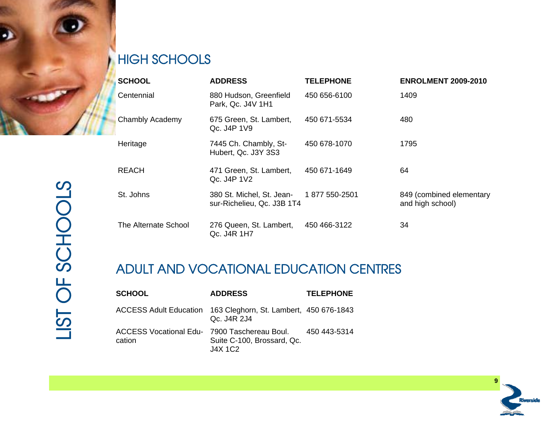

# HIGH SCHOOLS

|                | <b>SCHOOL</b>                                          | <b>ADDRESS</b>                                          | <b>TELEPHONE</b> | <b>ENROLMENT 2009-2010</b>                   |
|----------------|--------------------------------------------------------|---------------------------------------------------------|------------------|----------------------------------------------|
|                | Centennial                                             | 880 Hudson, Greenfield<br>Park, Qc. J4V 1H1             | 450 656-6100     | 1409                                         |
|                | Chambly Academy                                        | 675 Green, St. Lambert,<br>Qc. J4P 1V9                  | 450 671-5534     | 480                                          |
|                | Heritage                                               | 7445 Ch. Chambly, St-<br>Hubert, Qc. J3Y 3S3            | 450 678-1070     | 1795                                         |
|                | <b>REACH</b>                                           | 471 Green, St. Lambert,<br>Qc. J4P 1V2                  | 450 671-1649     | 64                                           |
| SCHOOLS        | St. Johns                                              | 380 St. Michel, St. Jean-<br>sur-Richelieu, Qc. J3B 1T4 | 1877 550-2501    | 849 (combined elementary<br>and high school) |
|                | The Alternate School                                   | 276 Queen, St. Lambert,<br>Qc. J4R 1H7                  | 450 466-3122     | 34                                           |
| Щ.             |                                                        | <b>ADULT AND VOCATIONAL EDUCATION CENTRES</b>           |                  |                                              |
| $\overline{C}$ | <b>SCHOOL</b>                                          | <b>ADDRESS</b>                                          | <b>TELEPHONE</b> |                                              |
| <b>USL</b>     | <b>ACCESS Adult Education</b>                          | 163 Cleghorn, St. Lambert, 450 676-1843<br>Qc. J4R 2J4  |                  |                                              |
|                | ACCESS Vocational Edu- 7900 Taschereau Boul.<br>ootion | Cuita C 100 Drococrd Oo                                 | 450 443-5314     |                                              |

# ADULT AND VOCATIONAL EDUCATION CENTRES

| <b>SCHOOL</b>                                          | <b>ADDRESS</b>                                                                | <b>TELEPHONE</b> |
|--------------------------------------------------------|-------------------------------------------------------------------------------|------------------|
|                                                        | ACCESS Adult Education 163 Cleghorn, St. Lambert, 450 676-1843<br>Qc. J4R 2J4 |                  |
| ACCESS Vocational Edu- 7900 Taschereau Boul.<br>cation | Suite C-100, Brossard, Qc.<br>$J4X$ 1 $C2$                                    | 450 443-5314     |

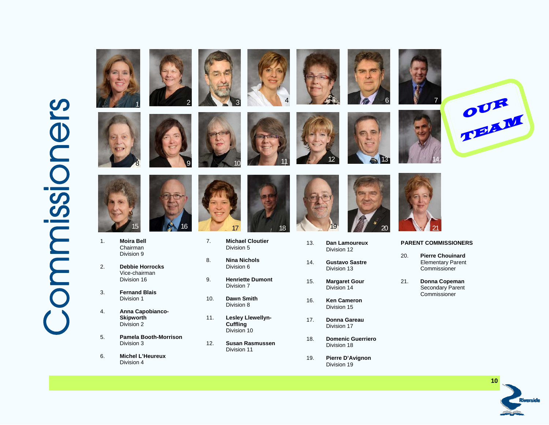# **Commissioners** ommissioners







- 1. **Moira Bell** Chairman Division 9
- 2. **Debbie Horrocks**  Vice-chairman Division 16
- 3. **Fernand Blais** Division 1
- 4. **Anna Capobianco- Skipworth**  Division 2
- 5. **Pamela Booth-Morrison** Division 3
- 6. **Michel L'Heureux** Division 4





- 7. **Michael Cloutier**  Division 5
- 8. **Nina Nichols** Division 6
- 9. **Henriette Dumont**Division 7
- 10. **Dawn Smith**Division 8
- 11. **Lesley Llewellyn- Cuffling** Division 10
- 12. **Susan Rasmussen** Division 11





- 13. **Dan Lamoureux** Division 12
- 14. **Gustavo Sastre** Division 13
- 15. **Margaret Gour**  Division 14
- 16. **Ken Cameron** Division 15
- 17. **Donna Gareau** Division 17
- 18. **Domenic Guerriero** Division 18
- 19. **Pierre D'Avignon**  Division 19







### **PARENT COMMISSIONERS**

- 20. **Pierre Chouinard** Elementary Parent Commissioner
- 21. **Donna Copeman** Secondary Parent Commissioner

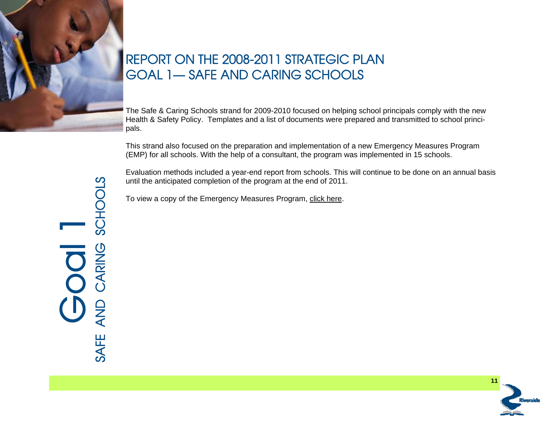

# REPORT ON THE 2008-2011 STRATEGIC PLAN GOAL 1— SAFE AND CARING SCHOOLS

The Safe & Caring Schools strand for 2009-2010 focused on helping school principals comply with the new Health & Safety Policy. Templates and a list of documents were prepared and transmitted to school principals.

This strand also focused on the preparation and implementation of a new Emergency Measures Program (EMP) for all schools. With the help of a consultant, the program was implemented in 15 schools.

Evaluation methods included a year-end report from schools. This will continue to be done on an annual basis until the anticipated completion of the program at the end of 2011.

To view a copy of the Emergency Measures Program, [click here](http://www.rsb.qc.ca/public/59e74f4a-c76f-4582-97d9-9136f5687bf1/gouvernance/policies/plan_for_emergency_measures.pdf).

SAFE AND CARING SCHOOLS SCHOOLS Goal 1 CARING AND **SAFE** 

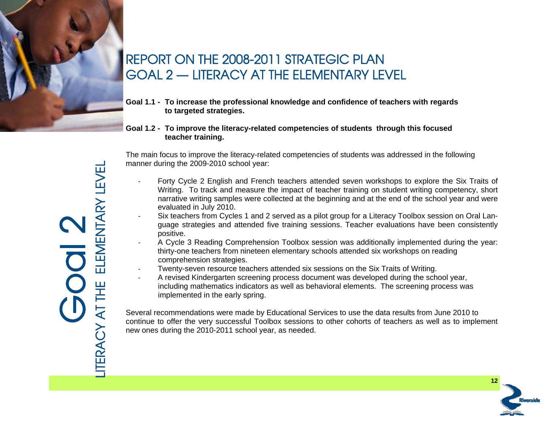

# REPORT ON THE 2008-2011 STRATEGIC PLAN GOAL 2 — LITERACY AT THE ELEMENTARY LEVEL

- **Goal 1.1 To increase the professional knowledge and confidence of teachers with regards to targeted strategies.**
- **Goal 1.2 To improve the literacy-related competencies of students through this focused teacher training.**

The main focus to improve the literacy-related competencies of students was addressed in the following manner during the 2009-2010 school year:

- Forty Cycle 2 English and French teachers attended seven workshops to explore the Six Traits of Writing. To track and measure the impact of teacher training on student writing competency, short narrative writing samples were collected at the beginning and at the end of the school year and were evaluated in July 2010.
- Six teachers from Cycles 1 and 2 served as a pilot group for a Literacy Toolbox session on Oral Language strategies and attended five training sessions. Teacher evaluations have been consistently positive.
- A Cycle 3 Reading Comprehension Toolbox session was additionally implemented during the year: thirty-one teachers from nineteen elementary schools attended six workshops on reading comprehension strategies.
- Twenty-seven resource teachers attended six sessions on the Six Traits of Writing.
- A revised Kindergarten screening process document was developed during the school year, including mathematics indicators as well as behavioral elements. The screening process was implemented in the early spring.

Several recommendations were made by Educational Services to use the data results from June 2010 to continue to offer the very successful Toolbox sessions to other cohorts of teachers as well as to implement new ones during the 2010-2011 school year, as needed.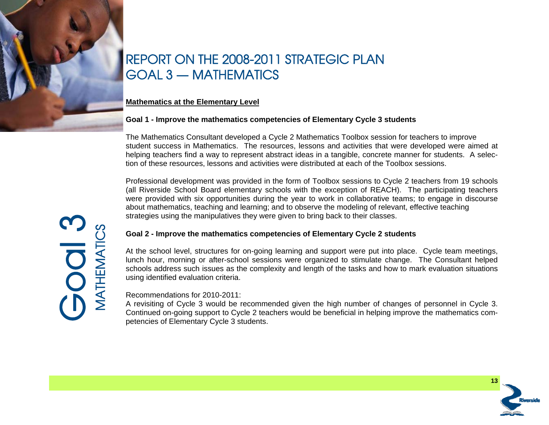

# REPORT ON THE 2008-2011 STRATEGIC PLAN GOAL 3 — MATHEMATICS

## **Mathematics at the Elementary Level**

### **Goal 1 - Improve the mathematics competencies of Elementary Cycle 3 students**

The Mathematics Consultant developed a Cycle 2 Mathematics Toolbox session for teachers to improve student success in Mathematics. The resources, lessons and activities that were developed were aimed at helping teachers find a way to represent abstract ideas in a tangible, concrete manner for students. A selection of these resources, lessons and activities were distributed at each of the Toolbox sessions.

Professional development was provided in the form of Toolbox sessions to Cycle 2 teachers from 19 schools (all Riverside School Board elementary schools with the exception of REACH). The participating teachers were provided with six opportunities during the year to work in collaborative teams; to engage in discourse about mathematics, teaching and learning; and to observe the modeling of relevant, effective teaching strategies using the manipulatives they were given to bring back to their classes.

### **Goal 2 - Improve the mathematics competencies of Elementary Cycle 2 students**

At the school level, structures for on-going learning and support were put into place. Cycle team meetings, lunch hour, morning or after-school sessions were organized to stimulate change. The Consultant helped schools address such issues as the complexity and length of the tasks and how to mark evaluation situations using identified evaluation criteria.

### Recommendations for 2010-2011:

A revisiting of Cycle 3 would be recommended given the high number of changes of personnel in Cycle 3. Continued on-going support to Cycle 2 teachers would be beneficial in helping improve the mathematics competencies of Elementary Cycle 3 students.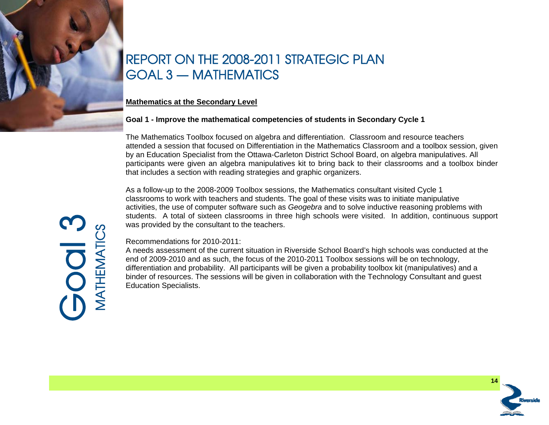

# REPORT ON THE 2008-2011 STRATEGIC PLAN GOAL 3 — MATHEMATICS

### **Mathematics at the Secondary Level**

# **Goal 1 - Improve the mathematical competencies of students in Secondary Cycle 1**

The Mathematics Toolbox focused on algebra and differentiation. Classroom and resource teachers attended a session that focused on Differentiation in the Mathematics Classroom and a toolbox session, given by an Education Specialist from the Ottawa-Carleton District School Board, on algebra manipulatives. All participants were given an algebra manipulatives kit to bring back to their classrooms and a toolbox binder that includes a section with reading strategies and graphic organizers.

As a follow-up to the 2008-2009 Toolbox sessions, the Mathematics consultant visited Cycle 1 classrooms to work with teachers and students. The goal of these visits was to initiate manipulative activities, the use of computer software such as *Geogebra* and to solve inductive reasoning problems with students. A total of sixteen classrooms in three high schools were visited. In addition, continuous support was provided by the consultant to the teachers.

### Recommendations for 2010-2011:

A needs assessment of the current situation in Riverside School Board's high schools was conducted at the end of 2009-2010 and as such, the focus of the 2010-2011 Toolbox sessions will be on technology, differentiation and probability. All participants will be given a probability toolbox kit (manipulatives) and a binder of resources. The sessions will be given in collaboration with the Technology Consultant and guest Education Specialists.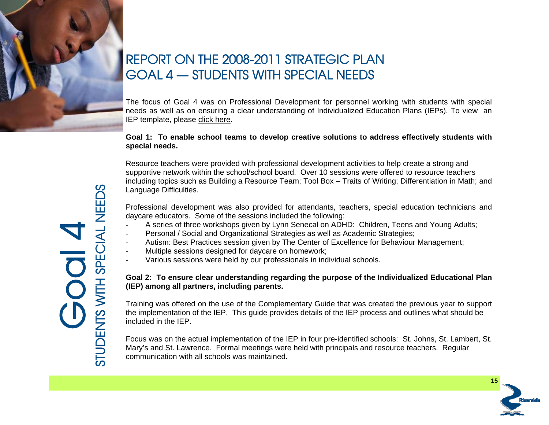

# REPORT ON THE 2008-2011 STRATEGIC PLAN GOAL 4 — STUDENTS WITH SPECIAL NEEDS

The focus of Goal 4 was on Professional Development for personnel working with students with special needs as well as on ensuring a clear understanding of Individualized Education Plans (IEPs). To view an IEP template, please [click here](http://www.rsb.qc.ca/public/59e74f4a-c76f-4582-97d9-9136f5687bf1/services_administratifs/iep_template.pdf).

### **Goal 1: To enable school teams to develop creative solutions to address effectively students with special needs.**

Resource teachers were provided with professional development activities to help create a strong and supportive network within the school/school board. Over 10 sessions were offered to resource teachers including topics such as Building a Resource Team; Tool Box – Traits of Writing; Differentiation in Math; and Language Difficulties.

Professional development was also provided for attendants, teachers, special education technicians and daycare educators. Some of the sessions included the following:

- A series of three workshops given by Lynn Senecal on ADHD: Children, Teens and Young Adults;
- Personal / Social and Organizational Strategies as well as Academic Strategies;
- Autism: Best Practices session given by The Center of Excellence for Behaviour Management;
- Multiple sessions designed for daycare on homework;
- Various sessions were held by our professionals in individual schools.

# **Goal 2: To ensure clear understanding regarding the purpose of the Individualized Educational Plan (IEP) among all partners, including parents.**

Training was offered on the use of the Complementary Guide that was created the previous year to support the implementation of the IEP. This guide provides details of the IEP process and outlines what should be included in the IEP.

Focus was on the actual implementation of the IEP in four pre-identified schools: St. Johns, St. Lambert, St. Mary's and St. Lawrence. Formal meetings were held with principals and resource teachers. Regular communication with all schools was maintained.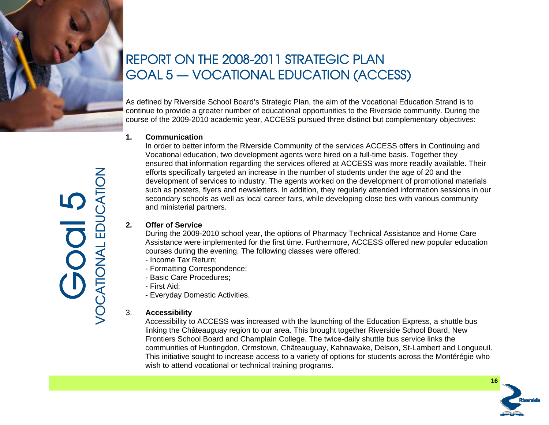

# REPORT ON THE 2008-2011 STRATEGIC PLAN GOAL 5 — VOCATIONAL EDUCATION (ACCESS)

As defined by Riverside School Board's Strategic Plan, the aim of the Vocational Education Strand is to continue to provide a greater number of educational opportunities to the Riverside community. During the course of the 2009-2010 academic year, ACCESS pursued three distinct but complementary objectives:

# **1. Communication**

 In order to better inform the Riverside Community of the services ACCESS offers in Continuing and Vocational education, two development agents were hired on a full-time basis. Together they ensured that information regarding the services offered at ACCESS was more readily available. Their efforts specifically targeted an increase in the number of students under the age of 20 and the development of services to industry. The agents worked on the development of promotional materials such as posters, flyers and newsletters. In addition, they regularly attended information sessions in our secondary schools as well as local career fairs, while developing close ties with various community and ministerial partners.

# **2. Offer of Service**

 During the 2009-2010 school year, the options of Pharmacy Technical Assistance and Home Care Assistance were implemented for the first time. Furthermore, ACCESS offered new popular education courses during the evening. The following classes were offered:

- Income Tax Return;
- Formatting Correspondence;
- Basic Care Procedures;
- First Aid;
- Everyday Domestic Activities.

# 3. **Accessibility**

Accessibility to ACCESS was increased with the launching of the Education Express, a shuttle bus linking the Châteauguay region to our area. This brought together Riverside School Board, New Frontiers School Board and Champlain College. The twice-daily shuttle bus service links the communities of Huntingdon, Ormstown, Châteauguay, Kahnawake, Delson, St-Lambert and Longueuil. This initiative sought to increase access to a variety of options for students across the Montérégie who wish to attend vocational or technical training programs.

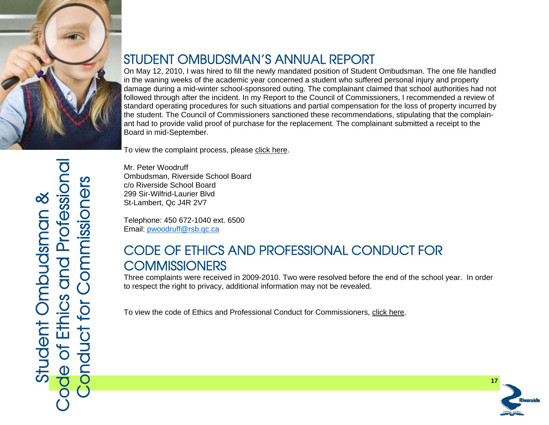

# STUDENT OMBUDSMAN'S ANNUAL REPORT

On May 12, 2010, I was hired to fill the newly mandated position of Student Ombudsman. The one file handled in the waning weeks of the academic year concerned a student who suffered personal injury and property damage during a mid-winter school-sponsored outing. The complainant claimed that school authorities had not followed through after the incident. In my Report to the Council of Commissioners, I recommended a review of standard operating procedures for such situations and partial compensation for the loss of property incurred by the student. The Council of Commissioners sanctioned these recommendations, stipulating that the complainant had to provide valid proof of purchase for the replacement. The complainant submitted a receipt to the Board in mid-September.

To view the complaint process, please [click](http://www.rsb.qc.ca/?0D47D670-E5E4-4DAD-8982-D26E4CAB97E4) [here.](http://www.rsb.qc.ca/?0D47D670-E5E4-4DAD-8982-D26E4CAB97E4)

Mr. Peter Woodruff Ombudsman, Riverside School Board c/o Riverside School Board 299 Sir-Wilfrid-Laurier Blvd St-Lambert, Qc J4R 2V7

Telephone: 450 672-1040 ext. 6500 Email: pwoodruff@rsb.qc.ca

# CODE OF ETHICS AND PROFESSIONAL CONDUCT FOR **COMMISSIONERS**

Three complaints were received in 2009-2010. Two were resolved before the end of the school year. In order to respect the right to privacy, additional information may not be revealed.

To view the code of Ethics and Professional Conduct for Commissioners, [click here](http://www.rsb.qc.ca/public/59e74f4a-c76f-4582-97d9-9136f5687bf1/gouvernance/by-laws/by-law_2_code_of_ethics_and_professional_conduct.pdf).



Strummer Laurier Blvd<br>
Strummer Laurier Blvd<br>
Telephone: 450 872-1040 ext. 6500<br>
Email: <u>pwoodruif@rsb.ec.ca</u><br>
CODE OF ETHICS AND PROFESSIONAL CONDUCT FOR<br>
COMMISSIONERS<br>
Three complaints were received in 2009-2010. Two we Code of Ethics and Professional Conduct for Commissioners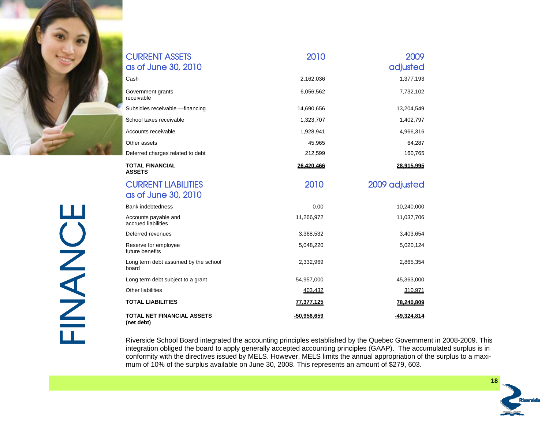

| <b>CURRENT ASSETS</b><br>as of June 30, 2010      | 2010              | 2009<br>adjusted |
|---------------------------------------------------|-------------------|------------------|
| Cash                                              | 2,162,036         | 1,377,193        |
| Government grants<br>receivable                   | 6,056,562         | 7,732,102        |
| Subsidies receivable -- financing                 | 14,690,656        | 13,204,549       |
| School taxes receivable                           | 1,323,707         | 1,402,797        |
| Accounts receivable                               | 1,928,941         | 4,966,316        |
| Other assets                                      | 45,965            | 64,287           |
| Deferred charges related to debt                  | 212,599           | 160,765          |
| <b>TOTAL FINANCIAL</b><br><b>ASSETS</b>           | 26,420,466        | 28,915,995       |
| <b>CURRENT LIABILITIES</b><br>as of June 30, 2010 | 2010              | 2009 adjusted    |
| Bank indebtedness                                 | 0.00              | 10,240,000       |
| Accounts payable and<br>accrued liabilities       | 11,266,972        | 11,037,706       |
| Deferred revenues                                 | 3,368,532         | 3,403,654        |
| Reserve for employee<br>future benefits           | 5,048,220         | 5,020,124        |
| Long term debt assumed by the school<br>board     | 2,332,969         | 2,865,354        |
| Long term debt subject to a grant                 | 54,957,000        | 45,363,000       |
| Other liabilities                                 | 403,432           | 310,971          |
| <b>TOTAL LIABILITIES</b>                          | <u>77,377,125</u> | 78,240,809       |
| <b>TOTAL NET FINANCIAL ASSETS</b><br>(net debt)   | -50,956,659       | -49,324,814      |

Riverside School Board integrated the accounting principles established by the Quebec Government in 2008-2009. This integration obliged the board to apply generally accepted accounting principles (GAAP). The accumulated surplus is in conformity with the directives issued by MELS. However, MELS limits the annual appropriation of the surplus to a maximum of 10% of the surplus available on June 30, 2008. This represents an amount of \$279, 603.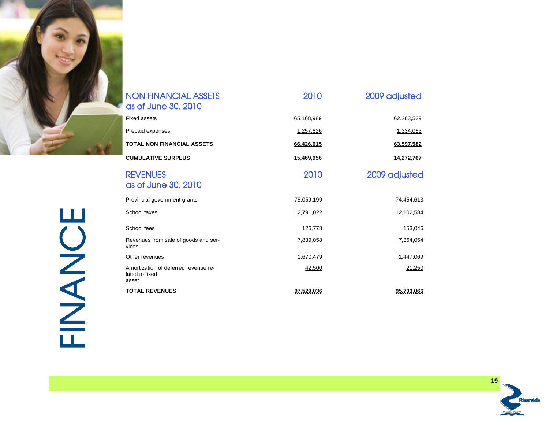

| <b>NON FINANCIAL ASSETS</b><br>as of June 30, 2010              | 2010       | 2009 adjusted |
|-----------------------------------------------------------------|------------|---------------|
| <b>Fixed assets</b>                                             | 65,168,989 | 62,263,529    |
| Prepaid expenses                                                | 1,257,626  | 1,334,053     |
| <b>TOTAL NON FINANCIAL ASSETS</b>                               | 66,426,615 | 63,597,582    |
| <b>CUMULATIVE SURPLUS</b>                                       | 15,469,956 | 14,272,767    |
| <b>REVENUES</b><br>as of June 30, 2010                          | 2010       | 2009 adjusted |
| Provincial government grants                                    | 75.059.199 | 74,454,613    |
| School taxes                                                    | 12,791,022 | 12,102,584    |
| School fees                                                     | 126,778    | 153,046       |
| Revenues from sale of goods and ser-<br>vices                   | 7,839,058  | 7,364,054     |
| Other revenues                                                  | 1,670,479  | 1,447,069     |
| Amortization of deferred revenue re-<br>lated to fixed<br>asset | 42,500     | 21,250        |
| <b>TOTAL REVENUES</b>                                           | 97,529,036 | 95,703,066    |

FINANCE FINANCE